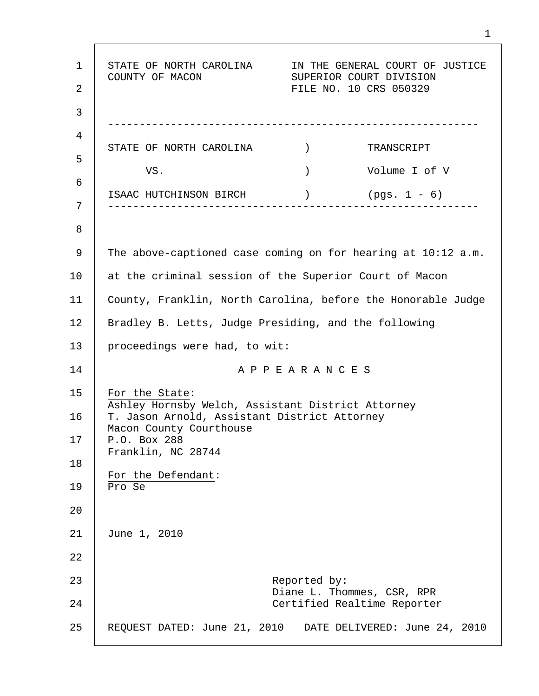1 2 3 4 5 6 7 8 9 10 11 12 13 14 15 16 17 18 19 20 21 22 23 24 25 STATE OF NORTH CAROLINA IN THE GENERAL COURT OF JUSTICE COUNTY OF MACON SUPERIOR COURT DIVISION FILE NO. 10 CRS 050329 ----------------------------------------------------------- STATE OF NORTH CAROLINA  $\qquad$ ) TRANSCRIPT VS. ) Volume I of V ISAAC HUTCHINSON BIRCH ) (pgs. 1 - 6) ----------------------------------------------------------- The above-captioned case coming on for hearing at 10:12 a.m. at the criminal session of the Superior Court of Macon County, Franklin, North Carolina, before the Honorable Judge Bradley B. Letts, Judge Presiding, and the following proceedings were had, to wit: A P P E A R A N C E S For the State: Ashley Hornsby Welch, Assistant District Attorney T. Jason Arnold, Assistant District Attorney Macon County Courthouse P.O. Box 288 Franklin, NC 28744 For the Defendant: Pro Se June 1, 2010 Reported by: Diane L. Thommes, CSR, RPR Certified Realtime Reporter REQUEST DATED: June 21, 2010 DATE DELIVERED: June 24, 2010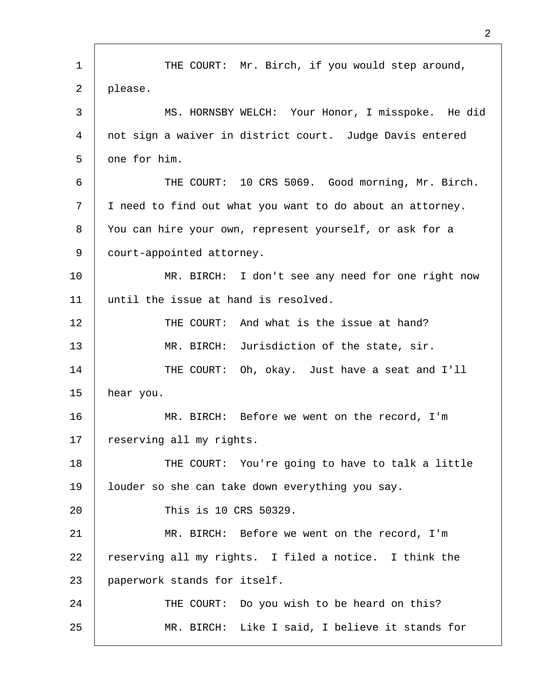1 2 3 4 5 6 7 8 9 10 11 12 13 14 15 16 17 18 19 20 21 22 23 24 25 THE COURT: Mr. Birch, if you would step around, please. MS. HORNSBY WELCH: Your Honor, I misspoke. He did not sign a waiver in district court. Judge Davis entered one for him. THE COURT: 10 CRS 5069. Good morning, Mr. Birch. I need to find out what you want to do about an attorney. You can hire your own, represent yourself, or ask for a court-appointed attorney. MR. BIRCH: I don't see any need for one right now until the issue at hand is resolved. THE COURT: And what is the issue at hand? MR. BIRCH: Jurisdiction of the state, sir. THE COURT: Oh, okay. Just have a seat and I'll hear you. MR. BIRCH: Before we went on the record, I'm reserving all my rights. THE COURT: You're going to have to talk a little louder so she can take down everything you say. This is 10 CRS 50329. MR. BIRCH: Before we went on the record, I'm reserving all my rights. I filed a notice. I think the paperwork stands for itself. THE COURT: Do you wish to be heard on this? MR. BIRCH: Like I said, I believe it stands for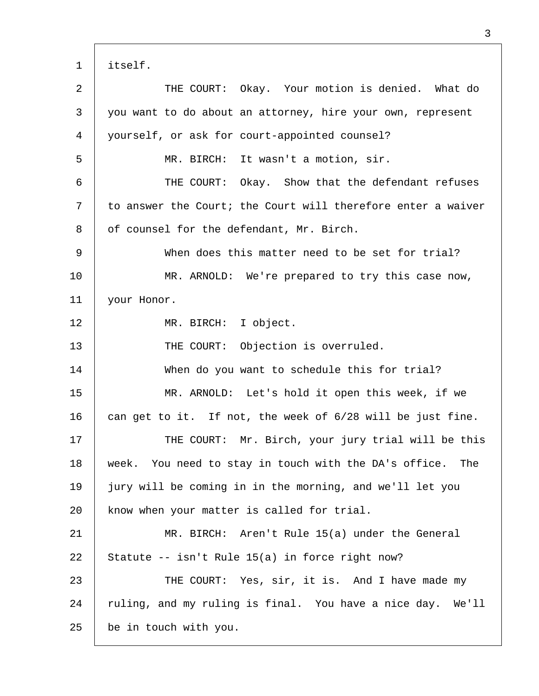| $\mathbf{1}$ | itself.                                                      |  |
|--------------|--------------------------------------------------------------|--|
| 2            | THE COURT: Okay. Your motion is denied. What do              |  |
| 3            | you want to do about an attorney, hire your own, represent   |  |
| 4            | yourself, or ask for court-appointed counsel?                |  |
| 5            | MR. BIRCH: It wasn't a motion, sir.                          |  |
| 6            | THE COURT: Okay. Show that the defendant refuses             |  |
| 7            | to answer the Court; the Court will therefore enter a waiver |  |
| 8            | of counsel for the defendant, Mr. Birch.                     |  |
| 9            | When does this matter need to be set for trial?              |  |
| 10           | MR. ARNOLD: We're prepared to try this case now,             |  |
| 11           | your Honor.                                                  |  |
| 12           | MR. BIRCH: I object.                                         |  |
| 13           | THE COURT: Objection is overruled.                           |  |
| 14           | When do you want to schedule this for trial?                 |  |
| 15           | MR. ARNOLD: Let's hold it open this week, if we              |  |
| 16           | can get to it. If not, the week of 6/28 will be just fine.   |  |
| 17           | THE COURT: Mr. Birch, your jury trial will be this           |  |
| 18           | week. You need to stay in touch with the DA's office.<br>The |  |
| 19           | jury will be coming in in the morning, and we'll let you     |  |
| 20           | know when your matter is called for trial.                   |  |
| 21           | MR. BIRCH: Aren't Rule 15(a) under the General               |  |
| 22           | Statute -- isn't Rule 15(a) in force right now?              |  |
| 23           | THE COURT: Yes, sir, it is. And I have made my               |  |
| 24           | ruling, and my ruling is final. You have a nice day. We'll   |  |
| 25           | be in touch with you.                                        |  |

Г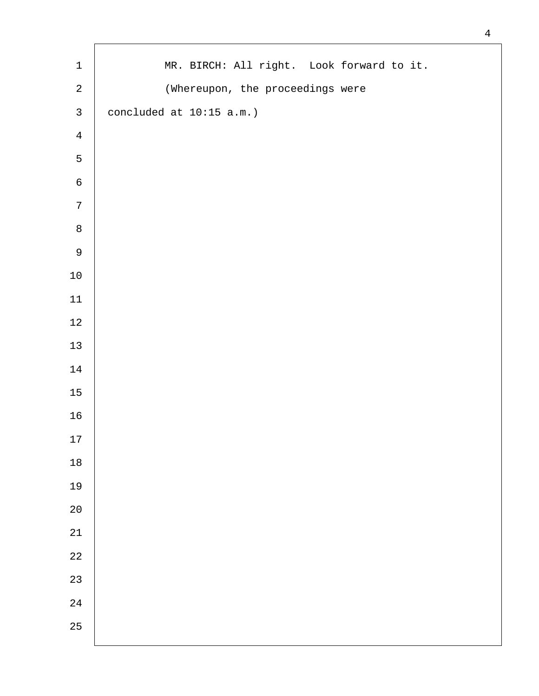| $\mathbf 1$    | MR. BIRCH: All right. Look forward to it. |
|----------------|-------------------------------------------|
| $\overline{a}$ | (Whereupon, the proceedings were          |
| $\mathsf{3}$   | concluded at 10:15 a.m.)                  |
| $\overline{4}$ |                                           |
| 5              |                                           |
| $\epsilon$     |                                           |
| $\overline{7}$ |                                           |
| $\,8\,$        |                                           |
| $\mathsf 9$    |                                           |
| $1\,0$         |                                           |
| $11\,$         |                                           |
| $12\,$         |                                           |
| 13             |                                           |
| $1\,4$         |                                           |
| $15\,$         |                                           |
| $16\,$         |                                           |
| 17             |                                           |
| $18$           |                                           |
| 19             |                                           |
| $20$           |                                           |
| $2\sqrt{1}$    |                                           |
| 22             |                                           |
| 23             |                                           |
| 24             |                                           |
| 25             |                                           |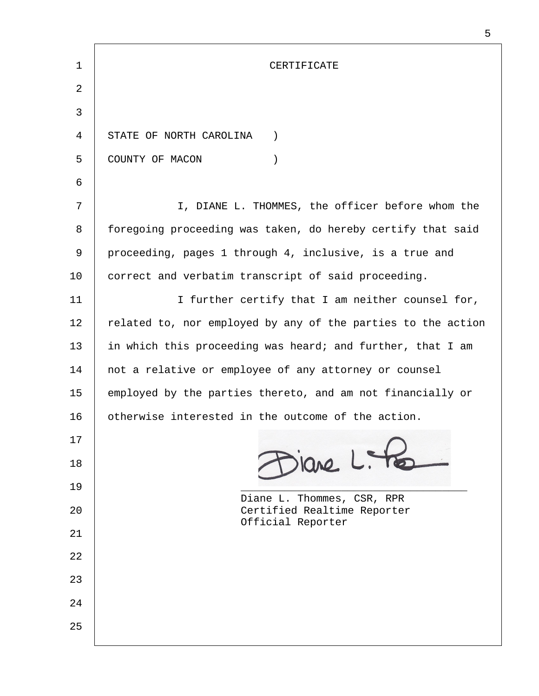| 1  | CERTIFICATE                                                  |  |
|----|--------------------------------------------------------------|--|
| 2  |                                                              |  |
| 3  |                                                              |  |
| 4  | STATE OF NORTH CAROLINA<br>$\left( \right)$                  |  |
| 5  | COUNTY OF MACON<br>$\mathcal{C}$                             |  |
| 6  |                                                              |  |
| 7  | I, DIANE L. THOMMES, the officer before whom the             |  |
| 8  | foregoing proceeding was taken, do hereby certify that said  |  |
| 9  | proceeding, pages 1 through 4, inclusive, is a true and      |  |
| 10 | correct and verbatim transcript of said proceeding.          |  |
| 11 | I further certify that I am neither counsel for,             |  |
| 12 | related to, nor employed by any of the parties to the action |  |
| 13 | in which this proceeding was heard; and further, that I am   |  |
| 14 | not a relative or employee of any attorney or counsel        |  |
| 15 | employed by the parties thereto, and am not financially or   |  |
| 16 | otherwise interested in the outcome of the action.           |  |
| 17 |                                                              |  |
| 18 | viane L. te                                                  |  |
| 19 | Diane L. Thommes, CSR, RPR                                   |  |
| 20 | Certified Realtime Reporter<br>Official Reporter             |  |
| 21 |                                                              |  |
| 22 |                                                              |  |
| 23 |                                                              |  |
| 24 |                                                              |  |
| 25 |                                                              |  |
|    |                                                              |  |